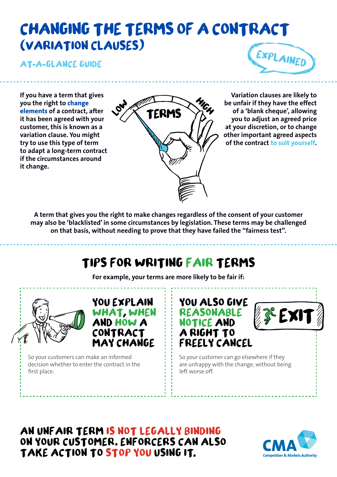# **CHANGING THE TERMS OF A CONTRACT**  (**VARIATION CLAUSES**)

**At a glance guide**



**If you have a term that gives you the right to change elements of a contract, after it has been agreed with your customer, this is known as a variation clause. You might try to use this type of term to adapt a long-term contract if the circumstances around it change.**



**Variation clauses are likely to be unfair if they have the effect of a 'blank cheque', allowing you to adjust an agreed price at your discretion, or to change other important agreed aspects of the contract to suit yourself.**

**A term that gives you the right to make changes regardless of the consent of your customer may also be 'blacklisted' in some circumstances by legislation. These terms may be challenged on that basis, without needing to prove that they have failed the "fairness test".**

## **TIPS FOR WRITING FAIR TERMS**

**For example, your terms are more likely to be fair if:**



**You explain what when and howa may change**

So your customers can make an informed decision whether to enter the contract in the first place.





So your customer can go elsewhere if they are unhappy with the change, without being left worse off.

**An unfair term is not legally binding on your customer Enforcers can also take action to stop you using it**